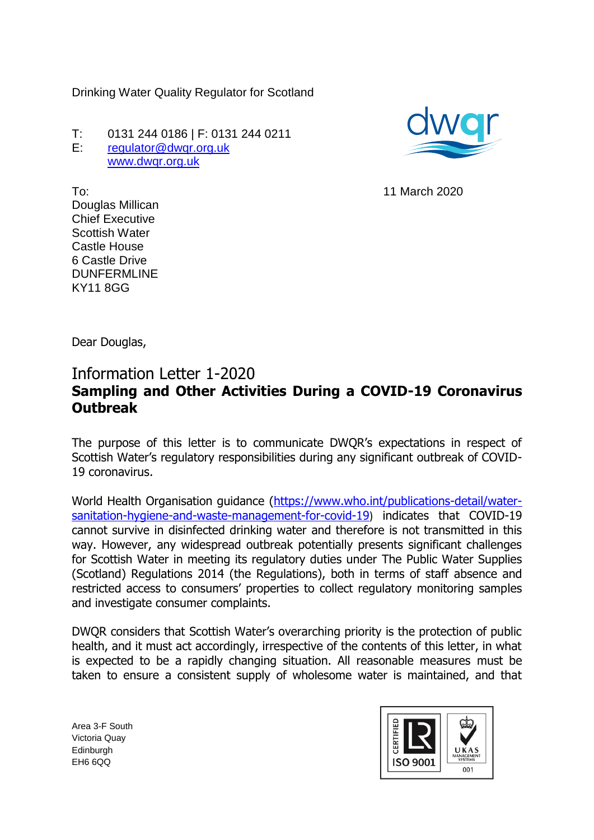Drinking Water Quality Regulator for Scotland

T: 0131 244 0186 | F: 0131 244 0211 E: [regulator@dwqr.org.uk](mailto:regulator@dwqr.org.uk)  [www.dwqr.org.uk](http://www.dwqr.org.uk/)



11 March 2020

To: Douglas Millican Chief Executive Scottish Water Castle House 6 Castle Drive DUNFERMLINE KY11 8GG

Dear Douglas,

## Information Letter 1-2020 **Sampling and Other Activities During a COVID-19 Coronavirus Outbreak**

The purpose of this letter is to communicate DWQR's expectations in respect of Scottish Water's regulatory responsibilities during any significant outbreak of COVID-19 coronavirus.

World Health Organisation guidance [\(https://www.who.int/publications-detail/water](https://www.who.int/publications-detail/water-sanitation-hygiene-and-waste-management-for-covid-19)[sanitation-hygiene-and-waste-management-for-covid-19](https://www.who.int/publications-detail/water-sanitation-hygiene-and-waste-management-for-covid-19)) indicates that COVID-19 cannot survive in disinfected drinking water and therefore is not transmitted in this way. However, any widespread outbreak potentially presents significant challenges for Scottish Water in meeting its regulatory duties under The Public Water Supplies (Scotland) Regulations 2014 (the Regulations), both in terms of staff absence and restricted access to consumers' properties to collect regulatory monitoring samples and investigate consumer complaints.

DWQR considers that Scottish Water's overarching priority is the protection of public health, and it must act accordingly, irrespective of the contents of this letter, in what is expected to be a rapidly changing situation. All reasonable measures must be taken to ensure a consistent supply of wholesome water is maintained, and that

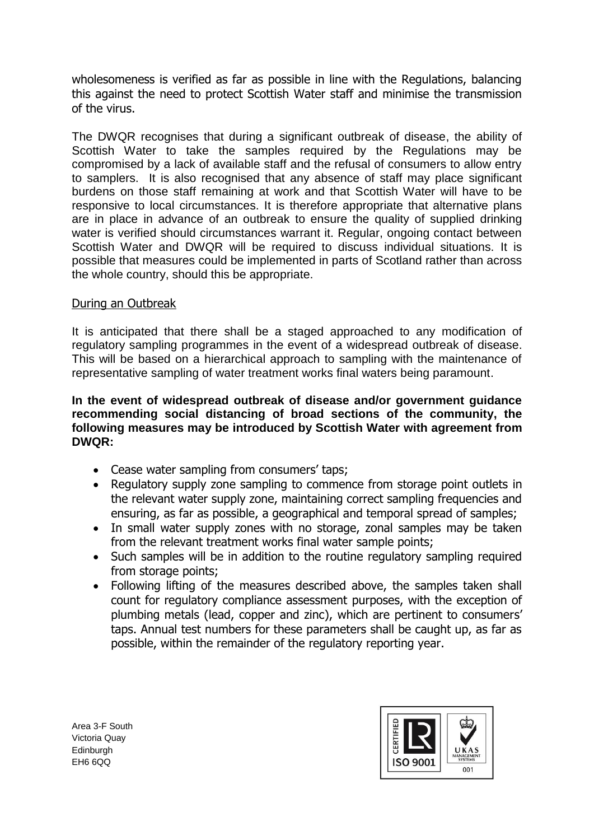wholesomeness is verified as far as possible in line with the Regulations, balancing this against the need to protect Scottish Water staff and minimise the transmission of the virus.

The DWQR recognises that during a significant outbreak of disease, the ability of Scottish Water to take the samples required by the Regulations may be compromised by a lack of available staff and the refusal of consumers to allow entry to samplers. It is also recognised that any absence of staff may place significant burdens on those staff remaining at work and that Scottish Water will have to be responsive to local circumstances. It is therefore appropriate that alternative plans are in place in advance of an outbreak to ensure the quality of supplied drinking water is verified should circumstances warrant it. Regular, ongoing contact between Scottish Water and DWQR will be required to discuss individual situations. It is possible that measures could be implemented in parts of Scotland rather than across the whole country, should this be appropriate.

## During an Outbreak

It is anticipated that there shall be a staged approached to any modification of regulatory sampling programmes in the event of a widespread outbreak of disease. This will be based on a hierarchical approach to sampling with the maintenance of representative sampling of water treatment works final waters being paramount.

**In the event of widespread outbreak of disease and/or government guidance recommending social distancing of broad sections of the community, the following measures may be introduced by Scottish Water with agreement from DWQR:**

- Cease water sampling from consumers' taps;
- Regulatory supply zone sampling to commence from storage point outlets in the relevant water supply zone, maintaining correct sampling frequencies and ensuring, as far as possible, a geographical and temporal spread of samples;
- In small water supply zones with no storage, zonal samples may be taken from the relevant treatment works final water sample points;
- Such samples will be in addition to the routine regulatory sampling required from storage points;
- Following lifting of the measures described above, the samples taken shall count for regulatory compliance assessment purposes, with the exception of plumbing metals (lead, copper and zinc), which are pertinent to consumers' taps. Annual test numbers for these parameters shall be caught up, as far as possible, within the remainder of the regulatory reporting year.

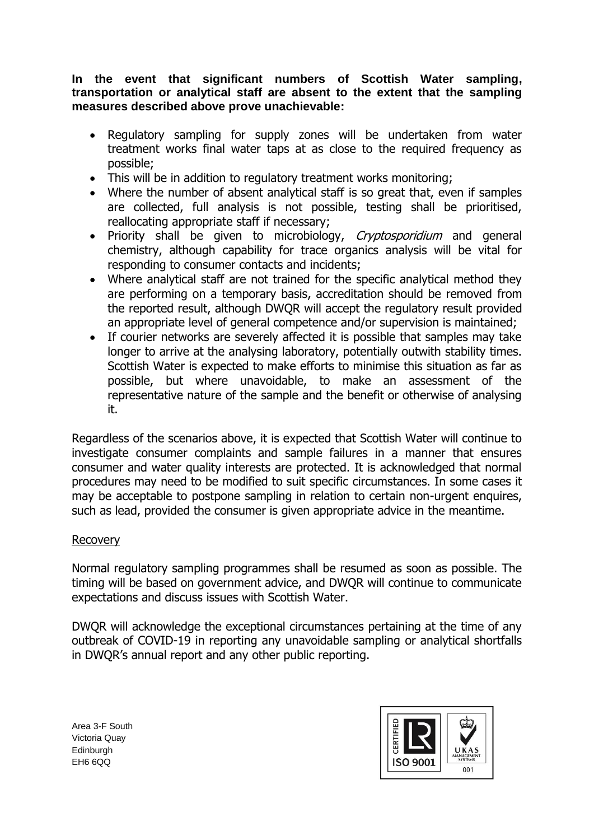**In the event that significant numbers of Scottish Water sampling, transportation or analytical staff are absent to the extent that the sampling measures described above prove unachievable:**

- Regulatory sampling for supply zones will be undertaken from water treatment works final water taps at as close to the required frequency as possible;
- This will be in addition to regulatory treatment works monitoring;
- Where the number of absent analytical staff is so great that, even if samples are collected, full analysis is not possible, testing shall be prioritised, reallocating appropriate staff if necessary;
- Priority shall be given to microbiology, Cryptosporidium and general chemistry, although capability for trace organics analysis will be vital for responding to consumer contacts and incidents;
- Where analytical staff are not trained for the specific analytical method they are performing on a temporary basis, accreditation should be removed from the reported result, although DWQR will accept the regulatory result provided an appropriate level of general competence and/or supervision is maintained;
- If courier networks are severely affected it is possible that samples may take longer to arrive at the analysing laboratory, potentially outwith stability times. Scottish Water is expected to make efforts to minimise this situation as far as possible, but where unavoidable, to make an assessment of the representative nature of the sample and the benefit or otherwise of analysing it.

Regardless of the scenarios above, it is expected that Scottish Water will continue to investigate consumer complaints and sample failures in a manner that ensures consumer and water quality interests are protected. It is acknowledged that normal procedures may need to be modified to suit specific circumstances. In some cases it may be acceptable to postpone sampling in relation to certain non-urgent enquires, such as lead, provided the consumer is given appropriate advice in the meantime.

## Recovery

Normal regulatory sampling programmes shall be resumed as soon as possible. The timing will be based on government advice, and DWQR will continue to communicate expectations and discuss issues with Scottish Water.

DWQR will acknowledge the exceptional circumstances pertaining at the time of any outbreak of COVID-19 in reporting any unavoidable sampling or analytical shortfalls in DWQR's annual report and any other public reporting.